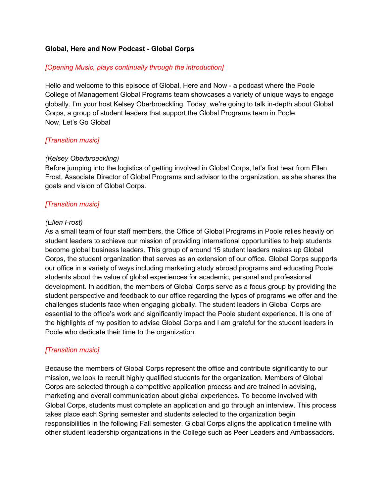## **Global, Here and Now Podcast - Global Corps**

## *[Opening Music, plays continually through the introduction]*

Hello and welcome to this episode of Global, Here and Now - a podcast where the Poole College of Management Global Programs team showcases a variety of unique ways to engage globally. I'm your host Kelsey Oberbroeckling. Today, we're going to talk in-depth about Global Corps, a group of student leaders that support the Global Programs team in Poole. Now, Let's Go Global

# *[Transition music]*

## *(Kelsey Oberbroeckling)*

Before jumping into the logistics of getting involved in Global Corps, let's first hear from Ellen Frost, Associate Director of Global Programs and advisor to the organization, as she shares the goals and vision of Global Corps.

# *[Transition music]*

#### *(Ellen Frost)*

As a small team of four staff members, the Office of Global Programs in Poole relies heavily on student leaders to achieve our mission of providing international opportunities to help students become global business leaders. This group of around 15 student leaders makes up Global Corps, the student organization that serves as an extension of our office. Global Corps supports our office in a variety of ways including marketing study abroad programs and educating Poole students about the value of global experiences for academic, personal and professional development. In addition, the members of Global Corps serve as a focus group by providing the student perspective and feedback to our office regarding the types of programs we offer and the challenges students face when engaging globally. The student leaders in Global Corps are essential to the office's work and significantly impact the Poole student experience. It is one of the highlights of my position to advise Global Corps and I am grateful for the student leaders in Poole who dedicate their time to the organization.

# *[Transition music]*

Because the members of Global Corps represent the office and contribute significantly to our mission, we look to recruit highly qualified students for the organization. Members of Global Corps are selected through a competitive application process and are trained in advising, marketing and overall communication about global experiences. To become involved with Global Corps, students must complete an application and go through an interview. This process takes place each Spring semester and students selected to the organization begin responsibilities in the following Fall semester. Global Corps aligns the application timeline with other student leadership organizations in the College such as Peer Leaders and Ambassadors.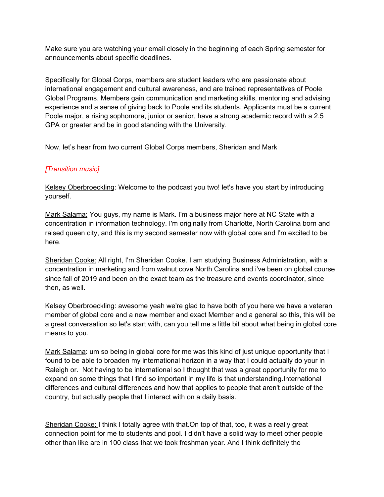Make sure you are watching your email closely in the beginning of each Spring semester for announcements about specific deadlines.

Specifically for Global Corps, members are student leaders who are passionate about international engagement and cultural awareness, and are trained representatives of Poole Global Programs. Members gain communication and marketing skills, mentoring and advising experience and a sense of giving back to Poole and its students. Applicants must be a current Poole major, a rising sophomore, junior or senior, have a strong academic record with a 2.5 GPA or greater and be in good standing with the University.

Now, let's hear from two current Global Corps members, Sheridan and Mark

# *[Transition music]*

Kelsey Oberbroeckling: Welcome to the podcast you two! let's have you start by introducing yourself.

Mark Salama: You guys, my name is Mark. I'm a business major here at NC State with a concentration in information technology. I'm originally from Charlotte, North Carolina born and raised queen city, and this is my second semester now with global core and I'm excited to be here.

Sheridan Cooke: All right, I'm Sheridan Cooke. I am studying Business Administration, with a concentration in marketing and from walnut cove North Carolina and i've been on global course since fall of 2019 and been on the exact team as the treasure and events coordinator, since then, as well.

Kelsey Oberbroeckling: awesome yeah we're glad to have both of you here we have a veteran member of global core and a new member and exact Member and a general so this, this will be a great conversation so let's start with, can you tell me a little bit about what being in global core means to you.

Mark Salama: um so being in global core for me was this kind of just unique opportunity that I found to be able to broaden my international horizon in a way that I could actually do your in Raleigh or. Not having to be international so I thought that was a great opportunity for me to expand on some things that I find so important in my life is that understanding.International differences and cultural differences and how that applies to people that aren't outside of the country, but actually people that I interact with on a daily basis.

Sheridan Cooke: I think I totally agree with that. On top of that, too, it was a really great connection point for me to students and pool. I didn't have a solid way to meet other people other than like are in 100 class that we took freshman year. And I think definitely the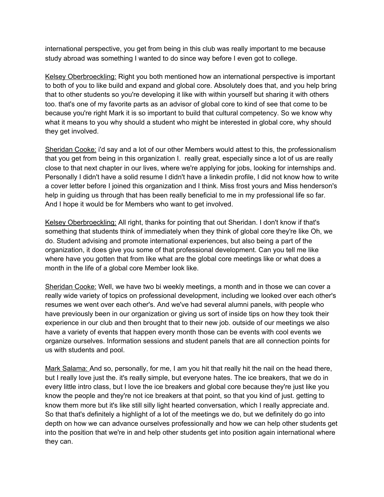international perspective, you get from being in this club was really important to me because study abroad was something I wanted to do since way before I even got to college.

Kelsey Oberbroeckling: Right you both mentioned how an international perspective is important to both of you to like build and expand and global core. Absolutely does that, and you help bring that to other students so you're developing it like with within yourself but sharing it with others too. that's one of my favorite parts as an advisor of global core to kind of see that come to be because you're right Mark it is so important to build that cultural competency. So we know why what it means to you why should a student who might be interested in global core, why should they get involved.

Sheridan Cooke: i'd say and a lot of our other Members would attest to this, the professionalism that you get from being in this organization I. really great, especially since a lot of us are really close to that next chapter in our lives, where we're applying for jobs, looking for internships and. Personally I didn't have a solid resume I didn't have a linkedin profile, I did not know how to write a cover letter before I joined this organization and I think. Miss frost yours and Miss henderson's help in guiding us through that has been really beneficial to me in my professional life so far. And I hope it would be for Members who want to get involved.

Kelsey Oberbroeckling: All right, thanks for pointing that out Sheridan. I don't know if that's something that students think of immediately when they think of global core they're like Oh, we do. Student advising and promote international experiences, but also being a part of the organization, it does give you some of that professional development. Can you tell me like where have you gotten that from like what are the global core meetings like or what does a month in the life of a global core Member look like.

Sheridan Cooke: Well, we have two bi weekly meetings, a month and in those we can cover a really wide variety of topics on professional development, including we looked over each other's resumes we went over each other's. And we've had several alumni panels, with people who have previously been in our organization or giving us sort of inside tips on how they took their experience in our club and then brought that to their new job. outside of our meetings we also have a variety of events that happen every month those can be events with cool events we organize ourselves. Information sessions and student panels that are all connection points for us with students and pool.

Mark Salama: And so, personally, for me, I am you hit that really hit the nail on the head there, but I really love just the. it's really simple, but everyone hates. The ice breakers, that we do in every little intro class, but I love the ice breakers and global core because they're just like you know the people and they're not ice breakers at that point, so that you kind of just. getting to know them more but it's like still silly light hearted conversation, which I really appreciate and. So that that's definitely a highlight of a lot of the meetings we do, but we definitely do go into depth on how we can advance ourselves professionally and how we can help other students get into the position that we're in and help other students get into position again international where they can.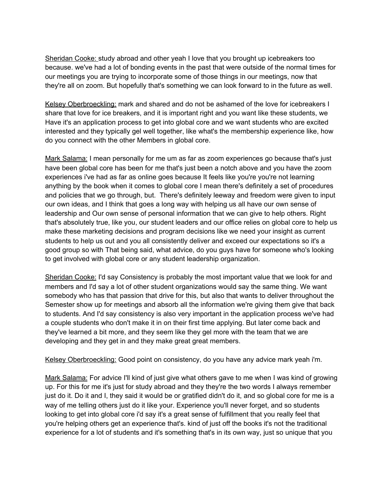Sheridan Cooke: study abroad and other yeah I love that you brought up icebreakers too because. we've had a lot of bonding events in the past that were outside of the normal times for our meetings you are trying to incorporate some of those things in our meetings, now that they're all on zoom. But hopefully that's something we can look forward to in the future as well.

Kelsey Oberbroeckling: mark and shared and do not be ashamed of the love for icebreakers I share that love for ice breakers, and it is important right and you want like these students, we Have it's an application process to get into global core and we want students who are excited interested and they typically gel well together, like what's the membership experience like, how do you connect with the other Members in global core.

Mark Salama: I mean personally for me um as far as zoom experiences go because that's just have been global core has been for me that's just been a notch above and you have the zoom experiences i've had as far as online goes because It feels like you're you're not learning anything by the book when it comes to global core I mean there's definitely a set of procedures and policies that we go through, but. There's definitely leeway and freedom were given to input our own ideas, and I think that goes a long way with helping us all have our own sense of leadership and Our own sense of personal information that we can give to help others. Right that's absolutely true, like you, our student leaders and our office relies on global core to help us make these marketing decisions and program decisions like we need your insight as current students to help us out and you all consistently deliver and exceed our expectations so it's a good group so with That being said, what advice, do you guys have for someone who's looking to get involved with global core or any student leadership organization.

Sheridan Cooke: I'd say Consistency is probably the most important value that we look for and members and I'd say a lot of other student organizations would say the same thing. We want somebody who has that passion that drive for this, but also that wants to deliver throughout the Semester show up for meetings and absorb all the information we're giving them give that back to students. And I'd say consistency is also very important in the application process we've had a couple students who don't make it in on their first time applying. But later come back and they've learned a bit more, and they seem like they gel more with the team that we are developing and they get in and they make great great members.

Kelsey Oberbroeckling: Good point on consistency, do you have any advice mark yeah i'm.

Mark Salama: For advice I'll kind of just give what others gave to me when I was kind of growing up. For this for me it's just for study abroad and they they're the two words I always remember just do it. Do it and I, they said it would be or gratified didn't do it, and so global core for me is a way of me telling others just do it like your. Experience you'll never forget, and so students looking to get into global core i'd say it's a great sense of fulfillment that you really feel that you're helping others get an experience that's. kind of just off the books it's not the traditional experience for a lot of students and it's something that's in its own way, just so unique that you